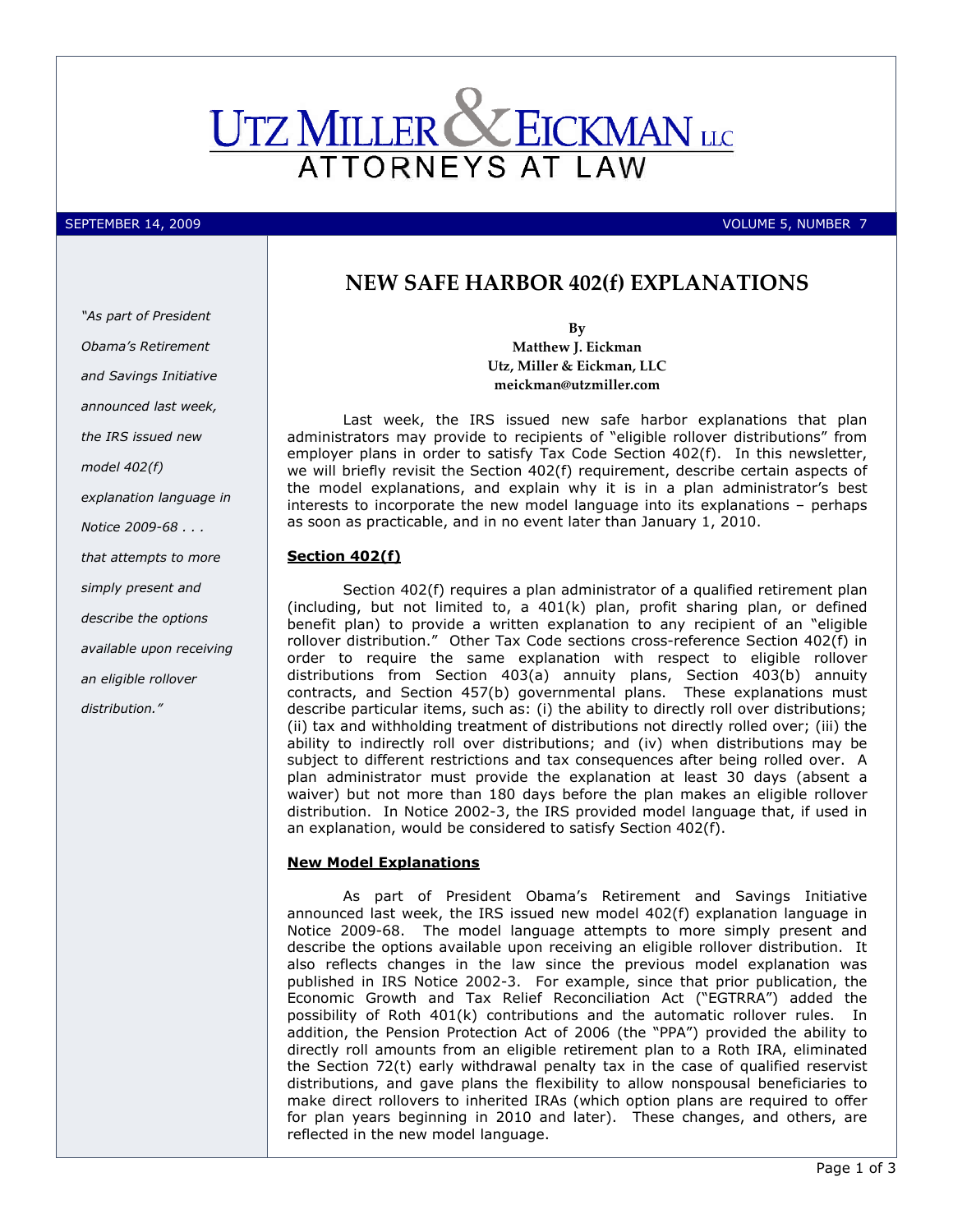

"As part of President Obama's Retirement

SEPTEMBER 14, 2009 PERSON NEWSTEIN AND ALL AND SEPTEMBER 14, 2009 PERSON NEWSTEIN AND ALL AND SEPTEMBER 7 NUMBER 7

# NEW SAFE HARBOR 402(f) EXPLANATIONS

By Matthew J. Eickman Utz, Miller & Eickman, LLC meickman@utzmiller.com

 Last week, the IRS issued new safe harbor explanations that plan administrators may provide to recipients of "eligible rollover distributions" from employer plans in order to satisfy Tax Code Section 402(f). In this newsletter, we will briefly revisit the Section 402(f) requirement, describe certain aspects of the model explanations, and explain why it is in a plan administrator's best interests to incorporate the new model language into its explanations – perhaps as soon as practicable, and in no event later than January 1, 2010.

### Section 402(f)

Section 402(f) requires a plan administrator of a qualified retirement plan (including, but not limited to, a 401(k) plan, profit sharing plan, or defined benefit plan) to provide a written explanation to any recipient of an "eligible rollover distribution." Other Tax Code sections cross-reference Section 402(f) in order to require the same explanation with respect to eligible rollover distributions from Section 403(a) annuity plans, Section 403(b) annuity contracts, and Section 457(b) governmental plans. These explanations must describe particular items, such as: (i) the ability to directly roll over distributions; (ii) tax and withholding treatment of distributions not directly rolled over; (iii) the ability to indirectly roll over distributions; and (iv) when distributions may be subject to different restrictions and tax consequences after being rolled over. A plan administrator must provide the explanation at least 30 days (absent a waiver) but not more than 180 days before the plan makes an eligible rollover distribution. In Notice 2002-3, the IRS provided model language that, if used in an explanation, would be considered to satisfy Section 402(f).

#### New Model Explanations

 As part of President Obama's Retirement and Savings Initiative announced last week, the IRS issued new model 402(f) explanation language in Notice 2009-68. The model language attempts to more simply present and describe the options available upon receiving an eligible rollover distribution. It also reflects changes in the law since the previous model explanation was published in IRS Notice 2002-3. For example, since that prior publication, the Economic Growth and Tax Relief Reconciliation Act ("EGTRRA") added the possibility of Roth 401(k) contributions and the automatic rollover rules. In addition, the Pension Protection Act of 2006 (the "PPA") provided the ability to directly roll amounts from an eligible retirement plan to a Roth IRA, eliminated the Section 72(t) early withdrawal penalty tax in the case of qualified reservist distributions, and gave plans the flexibility to allow nonspousal beneficiaries to make direct rollovers to inherited IRAs (which option plans are required to offer for plan years beginning in 2010 and later). These changes, and others, are reflected in the new model language.

and Savings Initiative announced last week, the IRS issued new model 402(f) explanation language in Notice 2009-68 . . . that attempts to more simply present and describe the options available upon receiving an eligible rollover

distribution."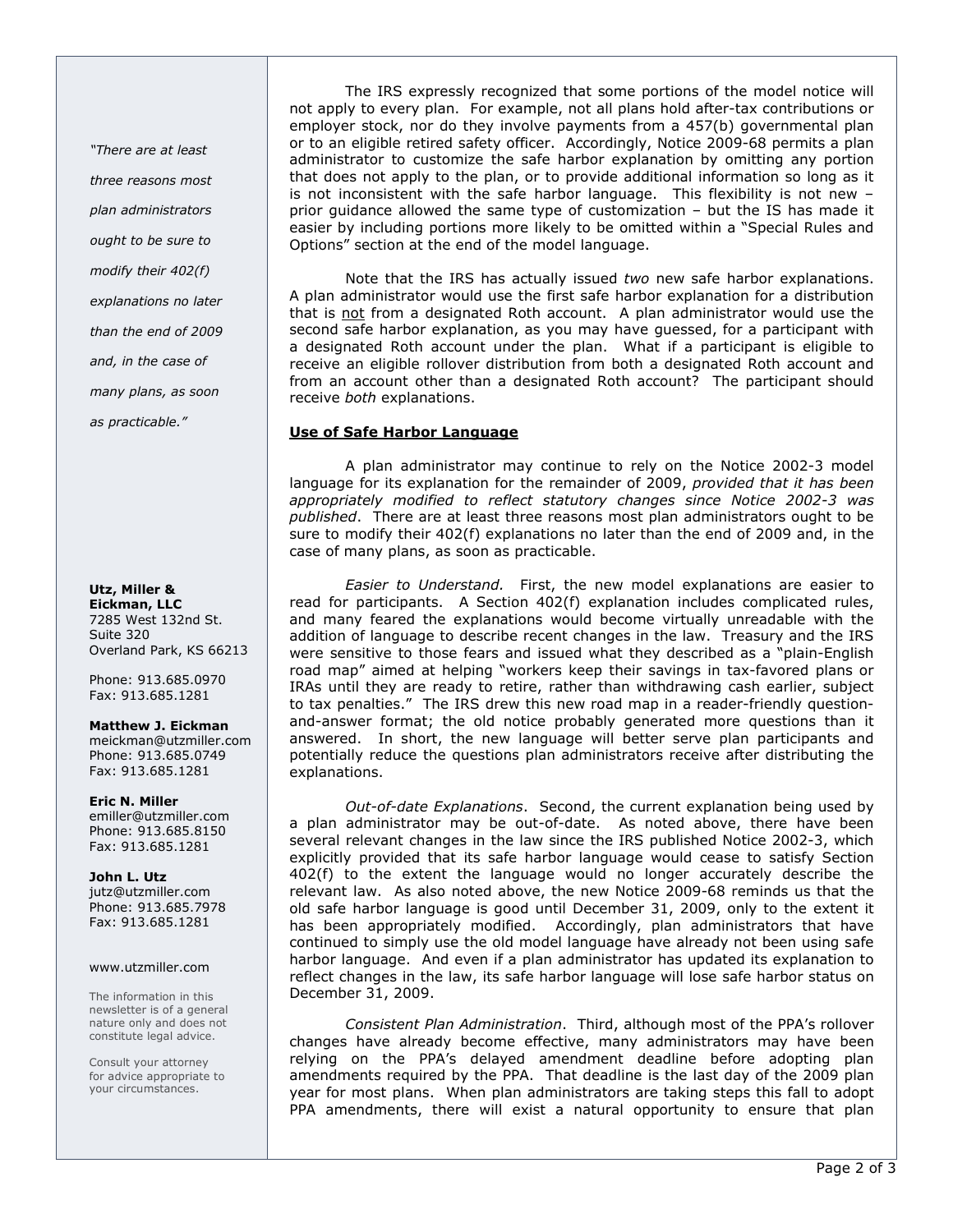"There are at least three reasons most plan administrators ought to be sure to modify their 402(f) explanations no later than the end of 2009 and, in the case of many plans, as soon as practicable."

#### Utz, Miller & Eickman, LLC 7285 West 132nd St.

Suite 320 Overland Park, KS 66213

Phone: 913.685.0970 Fax: 913.685.1281

## Matthew J. Eickman

meickman@utzmiller.com Phone: 913.685.0749 Fax: 913.685.1281

#### Eric N. Miller

emiller@utzmiller.com Phone: 913.685.8150 Fax: 913.685.1281

John L. Utz jutz@utzmiller.com Phone: 913.685.7978 Fax: 913.685.1281

### www.utzmiller.com

The information in this newsletter is of a general nature only and does not constitute legal advice.

Consult your attorney for advice appropriate to your circumstances.

The IRS expressly recognized that some portions of the model notice will not apply to every plan. For example, not all plans hold after-tax contributions or employer stock, nor do they involve payments from a 457(b) governmental plan or to an eligible retired safety officer. Accordingly, Notice 2009-68 permits a plan administrator to customize the safe harbor explanation by omitting any portion that does not apply to the plan, or to provide additional information so long as it is not inconsistent with the safe harbor language. This flexibility is not new – prior guidance allowed the same type of customization – but the IS has made it easier by including portions more likely to be omitted within a "Special Rules and Options" section at the end of the model language.

 Note that the IRS has actually issued two new safe harbor explanations. A plan administrator would use the first safe harbor explanation for a distribution that is not from a designated Roth account. A plan administrator would use the second safe harbor explanation, as you may have guessed, for a participant with a designated Roth account under the plan. What if a participant is eligible to receive an eligible rollover distribution from both a designated Roth account and from an account other than a designated Roth account? The participant should receive both explanations.

# Use of Safe Harbor Language

A plan administrator may continue to rely on the Notice 2002-3 model language for its explanation for the remainder of 2009, provided that it has been appropriately modified to reflect statutory changes since Notice 2002-3 was published. There are at least three reasons most plan administrators ought to be sure to modify their 402(f) explanations no later than the end of 2009 and, in the case of many plans, as soon as practicable.

Easier to Understand. First, the new model explanations are easier to read for participants. A Section 402(f) explanation includes complicated rules, and many feared the explanations would become virtually unreadable with the addition of language to describe recent changes in the law. Treasury and the IRS were sensitive to those fears and issued what they described as a "plain-English road map" aimed at helping "workers keep their savings in tax-favored plans or IRAs until they are ready to retire, rather than withdrawing cash earlier, subject to tax penalties." The IRS drew this new road map in a reader-friendly questionand-answer format; the old notice probably generated more questions than it answered. In short, the new language will better serve plan participants and potentially reduce the questions plan administrators receive after distributing the explanations.

Out-of-date Explanations. Second, the current explanation being used by a plan administrator may be out-of-date. As noted above, there have been several relevant changes in the law since the IRS published Notice 2002-3, which explicitly provided that its safe harbor language would cease to satisfy Section 402(f) to the extent the language would no longer accurately describe the relevant law. As also noted above, the new Notice 2009-68 reminds us that the old safe harbor language is good until December 31, 2009, only to the extent it has been appropriately modified. Accordingly, plan administrators that have continued to simply use the old model language have already not been using safe harbor language. And even if a plan administrator has updated its explanation to reflect changes in the law, its safe harbor language will lose safe harbor status on December 31, 2009.

Consistent Plan Administration. Third, although most of the PPA's rollover changes have already become effective, many administrators may have been relying on the PPA's delayed amendment deadline before adopting plan amendments required by the PPA. That deadline is the last day of the 2009 plan year for most plans. When plan administrators are taking steps this fall to adopt PPA amendments, there will exist a natural opportunity to ensure that plan